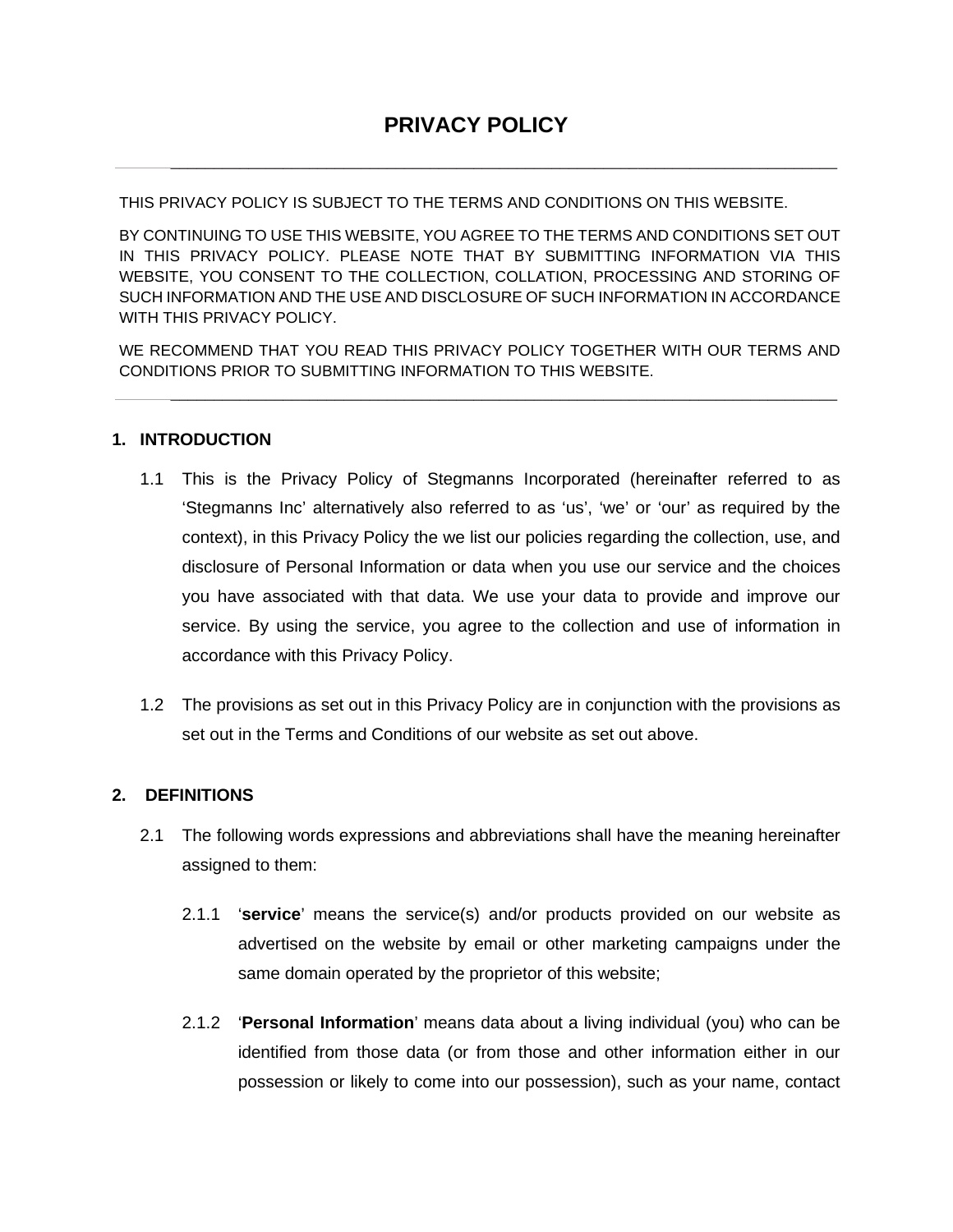\_\_\_\_\_\_\_\_\_\_\_\_\_\_\_\_\_\_\_\_\_\_\_\_\_\_\_\_\_\_\_\_\_\_\_\_\_\_\_\_\_\_\_\_\_\_\_\_\_\_\_\_\_\_\_\_\_\_\_\_\_\_\_\_\_\_\_\_\_\_\_\_\_\_\_\_\_

THIS PRIVACY POLICY IS SUBJECT TO THE TERMS AND CONDITIONS ON THIS WEBSITE.

BY CONTINUING TO USE THIS WEBSITE, YOU AGREE TO THE TERMS AND CONDITIONS SET OUT IN THIS PRIVACY POLICY. PLEASE NOTE THAT BY SUBMITTING INFORMATION VIA THIS WEBSITE, YOU CONSENT TO THE COLLECTION, COLLATION, PROCESSING AND STORING OF SUCH INFORMATION AND THE USE AND DISCLOSURE OF SUCH INFORMATION IN ACCORDANCE WITH THIS PRIVACY POLICY.

WE RECOMMEND THAT YOU READ THIS PRIVACY POLICY TOGETHER WITH OUR TERMS AND CONDITIONS PRIOR TO SUBMITTING INFORMATION TO THIS WEBSITE.

 $\mathcal{L}_\mathcal{L} = \{ \mathcal{L}_\mathcal{L} = \{ \mathcal{L}_\mathcal{L} = \{ \mathcal{L}_\mathcal{L} = \{ \mathcal{L}_\mathcal{L} = \{ \mathcal{L}_\mathcal{L} = \{ \mathcal{L}_\mathcal{L} = \{ \mathcal{L}_\mathcal{L} = \{ \mathcal{L}_\mathcal{L} = \{ \mathcal{L}_\mathcal{L} = \{ \mathcal{L}_\mathcal{L} = \{ \mathcal{L}_\mathcal{L} = \{ \mathcal{L}_\mathcal{L} = \{ \mathcal{L}_\mathcal{L} = \{ \mathcal{L}_\mathcal{$ 

# **1. INTRODUCTION**

- 1.1 This is the Privacy Policy of Stegmanns Incorporated (hereinafter referred to as 'Stegmanns Inc' alternatively also referred to as 'us', 'we' or 'our' as required by the context), in this Privacy Policy the we list our policies regarding the collection, use, and disclosure of Personal Information or data when you use our service and the choices you have associated with that data. We use your data to provide and improve our service. By using the service, you agree to the collection and use of information in accordance with this Privacy Policy.
- 1.2 The provisions as set out in this Privacy Policy are in conjunction with the provisions as set out in the Terms and Conditions of our website as set out above.

# **2. DEFINITIONS**

- 2.1 The following words expressions and abbreviations shall have the meaning hereinafter assigned to them:
	- 2.1.1 '**service**' means the service(s) and/or products provided on our website as advertised on the website by email or other marketing campaigns under the same domain operated by the proprietor of this website;
	- 2.1.2 '**Personal Information**' means data about a living individual (you) who can be identified from those data (or from those and other information either in our possession or likely to come into our possession), such as your name, contact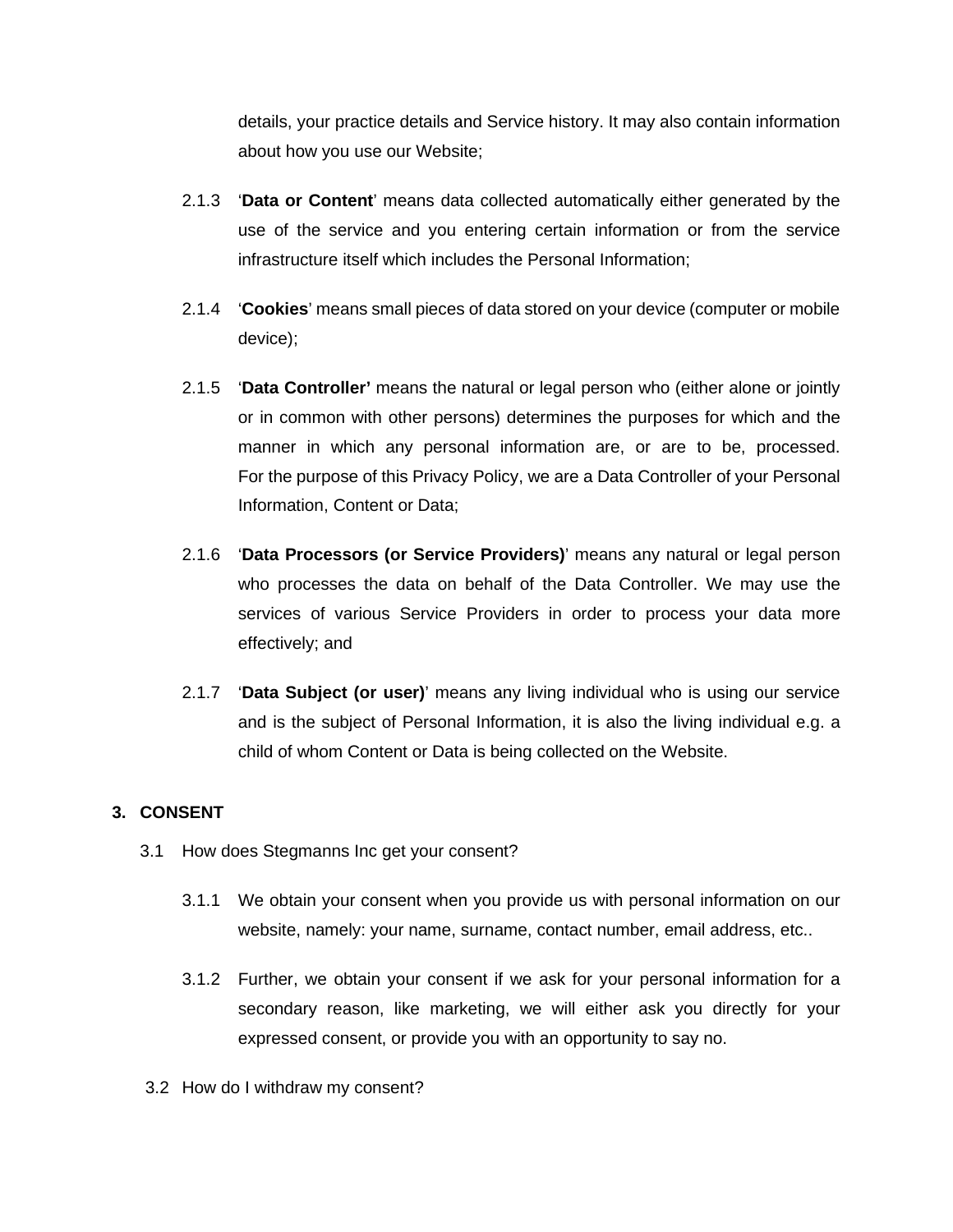details, your practice details and Service history. It may also contain information about how you use our Website;

- 2.1.3 '**Data or Content**' means data collected automatically either generated by the use of the service and you entering certain information or from the service infrastructure itself which includes the Personal Information;
- 2.1.4 '**Cookies**' means small pieces of data stored on your device (computer or mobile device);
- 2.1.5 '**Data Controller'** means the natural or legal person who (either alone or jointly or in common with other persons) determines the purposes for which and the manner in which any personal information are, or are to be, processed. For the purpose of this Privacy Policy, we are a Data Controller of your Personal Information, Content or Data;
- 2.1.6 '**Data Processors (or Service Providers)**' means any natural or legal person who processes the data on behalf of the Data Controller. We may use the services of various Service Providers in order to process your data more effectively; and
- 2.1.7 '**Data Subject (or user)**' means any living individual who is using our service and is the subject of Personal Information, it is also the living individual e.g. a child of whom Content or Data is being collected on the Website.

# **3. CONSENT**

- 3.1 How does Stegmanns Inc get your consent?
	- 3.1.1 We obtain your consent when you provide us with personal information on our website, namely: your name, surname, contact number, email address, etc..
	- 3.1.2 Further, we obtain your consent if we ask for your personal information for a secondary reason, like marketing, we will either ask you directly for your expressed consent, or provide you with an opportunity to say no.
- 3.2 How do I withdraw my consent?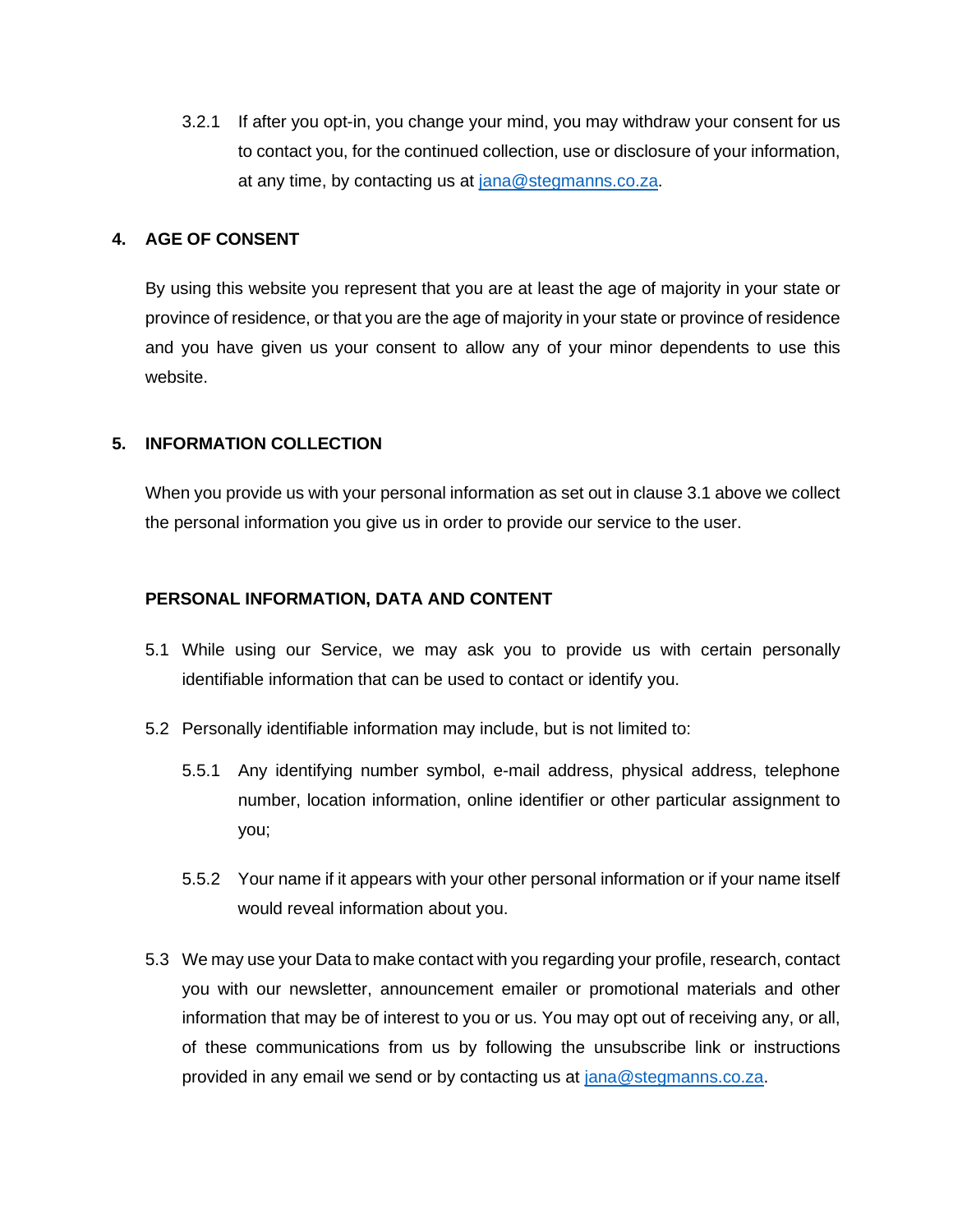3.2.1 If after you opt-in, you change your mind, you may withdraw your consent for us to contact you, for the continued collection, use or disclosure of your information, at any time, by contacting us at [jana@stegmanns.co.za.](mailto:jana@stegmanns.co.za)

# **4. AGE OF CONSENT**

By using this website you represent that you are at least the age of majority in your state or province of residence, or that you are the age of majority in your state or province of residence and you have given us your consent to allow any of your minor dependents to use this website.

# **5. INFORMATION COLLECTION**

When you provide us with your personal information as set out in clause 3.1 above we collect the personal information you give us in order to provide our service to the user.

#### **PERSONAL INFORMATION, DATA AND CONTENT**

- 5.1 While using our Service, we may ask you to provide us with certain personally identifiable information that can be used to contact or identify you.
- 5.2 Personally identifiable information may include, but is not limited to:
	- 5.5.1 Any identifying number symbol, e-mail address, physical address, telephone number, location information, online identifier or other particular assignment to you;
	- 5.5.2 Your name if it appears with your other personal information or if your name itself would reveal information about you.
- 5.3 We may use your Data to make contact with you regarding your profile, research, contact you with our newsletter, announcement emailer or promotional materials and other information that may be of interest to you or us. You may opt out of receiving any, or all, of these communications from us by following the unsubscribe link or instructions provided in any email we send or by contacting us at [jana@stegmanns.co.za.](mailto:jana@stegmanns.co.za)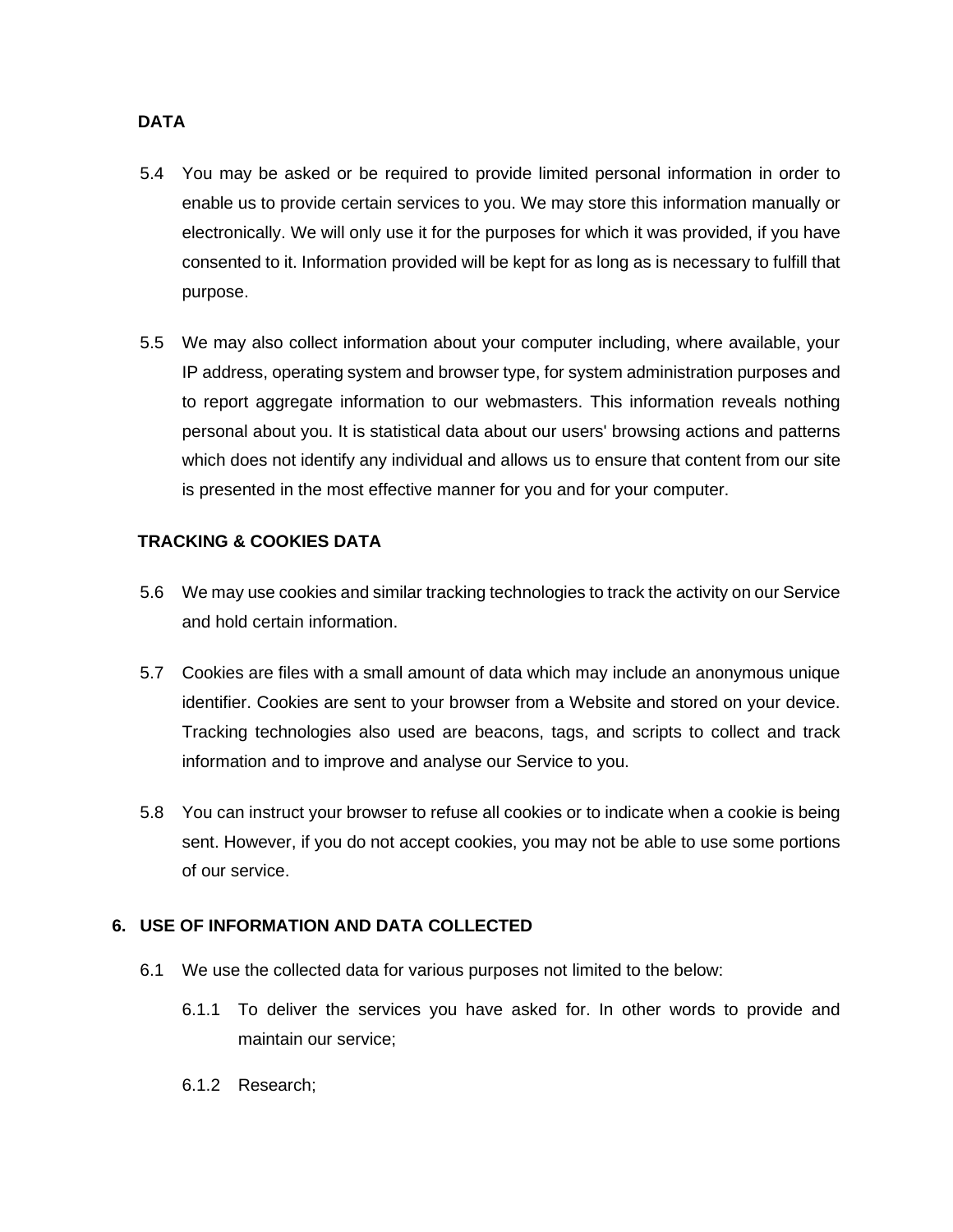# **DATA**

- 5.4 You may be asked or be required to provide limited personal information in order to enable us to provide certain services to you. We may store this information manually or electronically. We will only use it for the purposes for which it was provided, if you have consented to it. Information provided will be kept for as long as is necessary to fulfill that purpose.
- 5.5 We may also collect information about your computer including, where available, your IP address, operating system and browser type, for system administration purposes and to report aggregate information to our webmasters. This information reveals nothing personal about you. It is statistical data about our users' browsing actions and patterns which does not identify any individual and allows us to ensure that content from our site is presented in the most effective manner for you and for your computer.

# **TRACKING & COOKIES DATA**

- 5.6 We may use cookies and similar tracking technologies to track the activity on our Service and hold certain information.
- 5.7 Cookies are files with a small amount of data which may include an anonymous unique identifier. Cookies are sent to your browser from a Website and stored on your device. Tracking technologies also used are beacons, tags, and scripts to collect and track information and to improve and analyse our Service to you.
- 5.8 You can instruct your browser to refuse all cookies or to indicate when a cookie is being sent. However, if you do not accept cookies, you may not be able to use some portions of our service.

# **6. USE OF INFORMATION AND DATA COLLECTED**

- 6.1 We use the collected data for various purposes not limited to the below:
	- 6.1.1 To deliver the services you have asked for. In other words to provide and maintain our service;
	- 6.1.2 Research;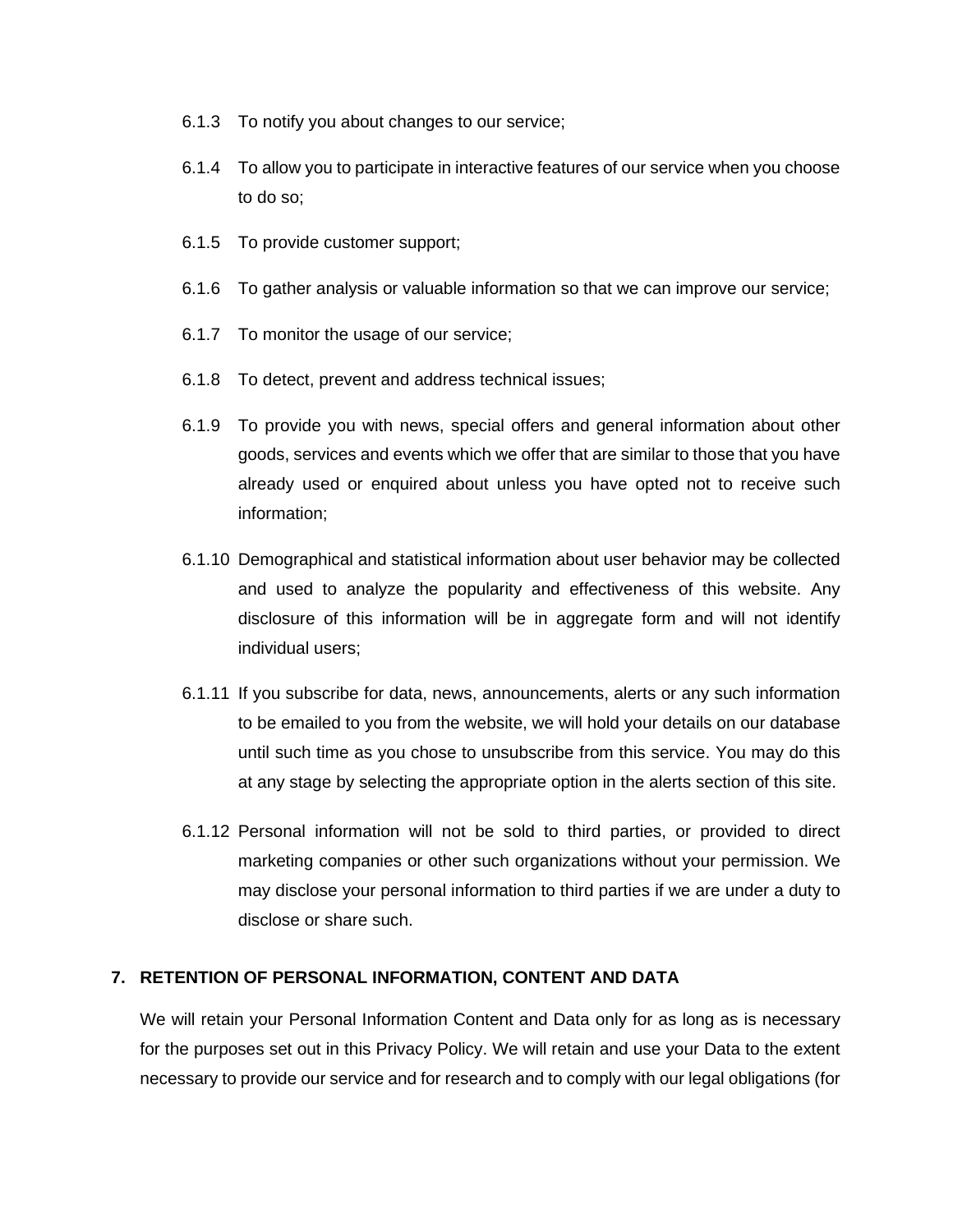- 6.1.3 To notify you about changes to our service;
- 6.1.4 To allow you to participate in interactive features of our service when you choose to do so;
- 6.1.5 To provide customer support;
- 6.1.6 To gather analysis or valuable information so that we can improve our service;
- 6.1.7 To monitor the usage of our service;
- 6.1.8 To detect, prevent and address technical issues;
- 6.1.9 To provide you with news, special offers and general information about other goods, services and events which we offer that are similar to those that you have already used or enquired about unless you have opted not to receive such information;
- 6.1.10 Demographical and statistical information about user behavior may be collected and used to analyze the popularity and effectiveness of this website. Any disclosure of this information will be in aggregate form and will not identify individual users;
- 6.1.11 If you subscribe for data, news, announcements, alerts or any such information to be emailed to you from the website, we will hold your details on our database until such time as you chose to unsubscribe from this service. You may do this at any stage by selecting the appropriate option in the alerts section of this site.
- 6.1.12 Personal information will not be sold to third parties, or provided to direct marketing companies or other such organizations without your permission. We may disclose your personal information to third parties if we are under a duty to disclose or share such.

#### **7. RETENTION OF PERSONAL INFORMATION, CONTENT AND DATA**

We will retain your Personal Information Content and Data only for as long as is necessary for the purposes set out in this Privacy Policy. We will retain and use your Data to the extent necessary to provide our service and for research and to comply with our legal obligations (for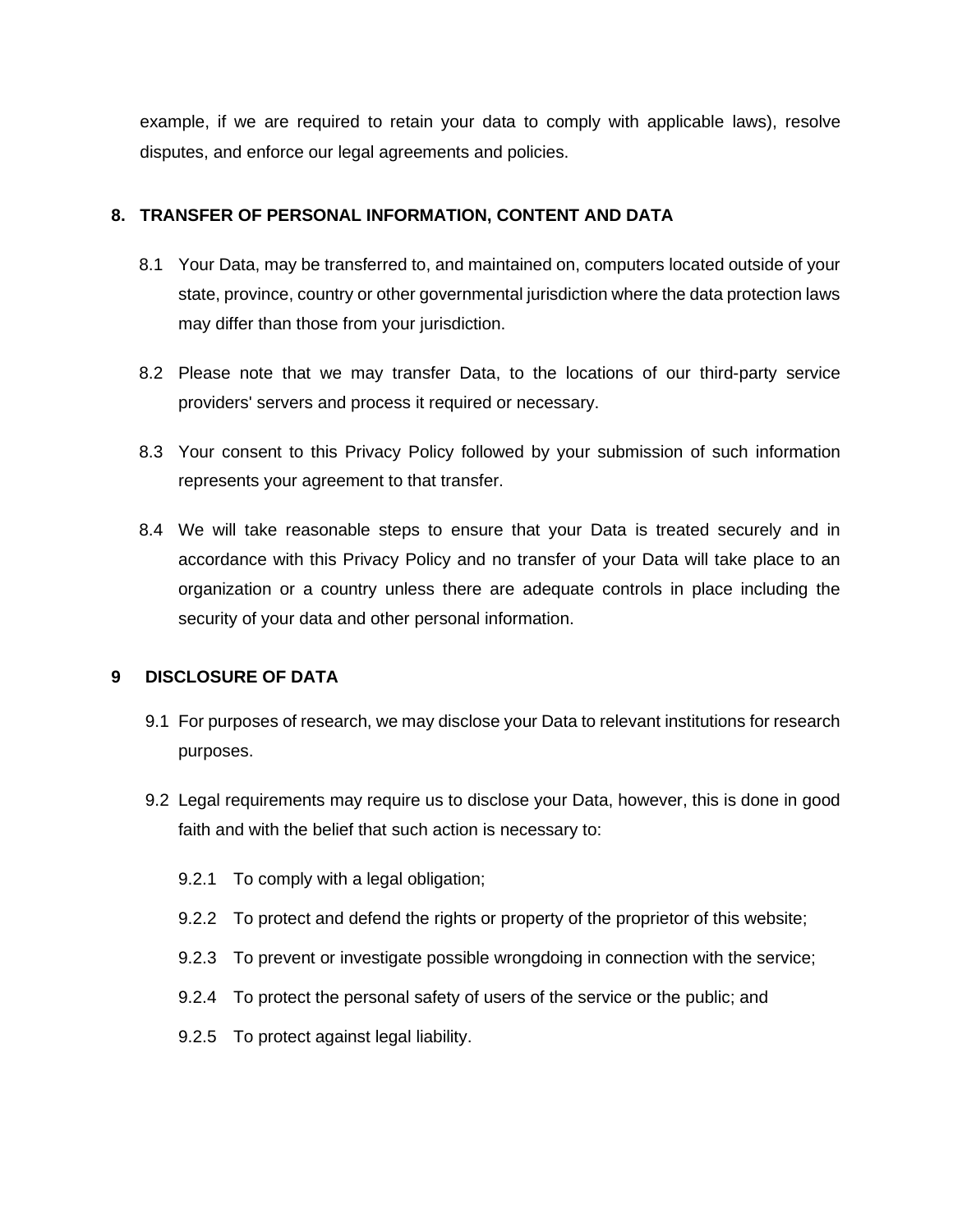example, if we are required to retain your data to comply with applicable laws), resolve disputes, and enforce our legal agreements and policies.

# **8. TRANSFER OF PERSONAL INFORMATION, CONTENT AND DATA**

- 8.1 Your Data, may be transferred to, and maintained on, computers located outside of your state, province, country or other governmental jurisdiction where the data protection laws may differ than those from your jurisdiction.
- 8.2 Please note that we may transfer Data, to the locations of our third-party service providers' servers and process it required or necessary.
- 8.3 Your consent to this Privacy Policy followed by your submission of such information represents your agreement to that transfer.
- 8.4 We will take reasonable steps to ensure that your Data is treated securely and in accordance with this Privacy Policy and no transfer of your Data will take place to an organization or a country unless there are adequate controls in place including the security of your data and other personal information.

# **9 DISCLOSURE OF DATA**

- 9.1 For purposes of research, we may disclose your Data to relevant institutions for research purposes.
- 9.2 Legal requirements may require us to disclose your Data, however, this is done in good faith and with the belief that such action is necessary to:
	- 9.2.1 To comply with a legal obligation;
	- 9.2.2 To protect and defend the rights or property of the proprietor of this website;
	- 9.2.3 To prevent or investigate possible wrongdoing in connection with the service;
	- 9.2.4 To protect the personal safety of users of the service or the public; and
	- 9.2.5 To protect against legal liability.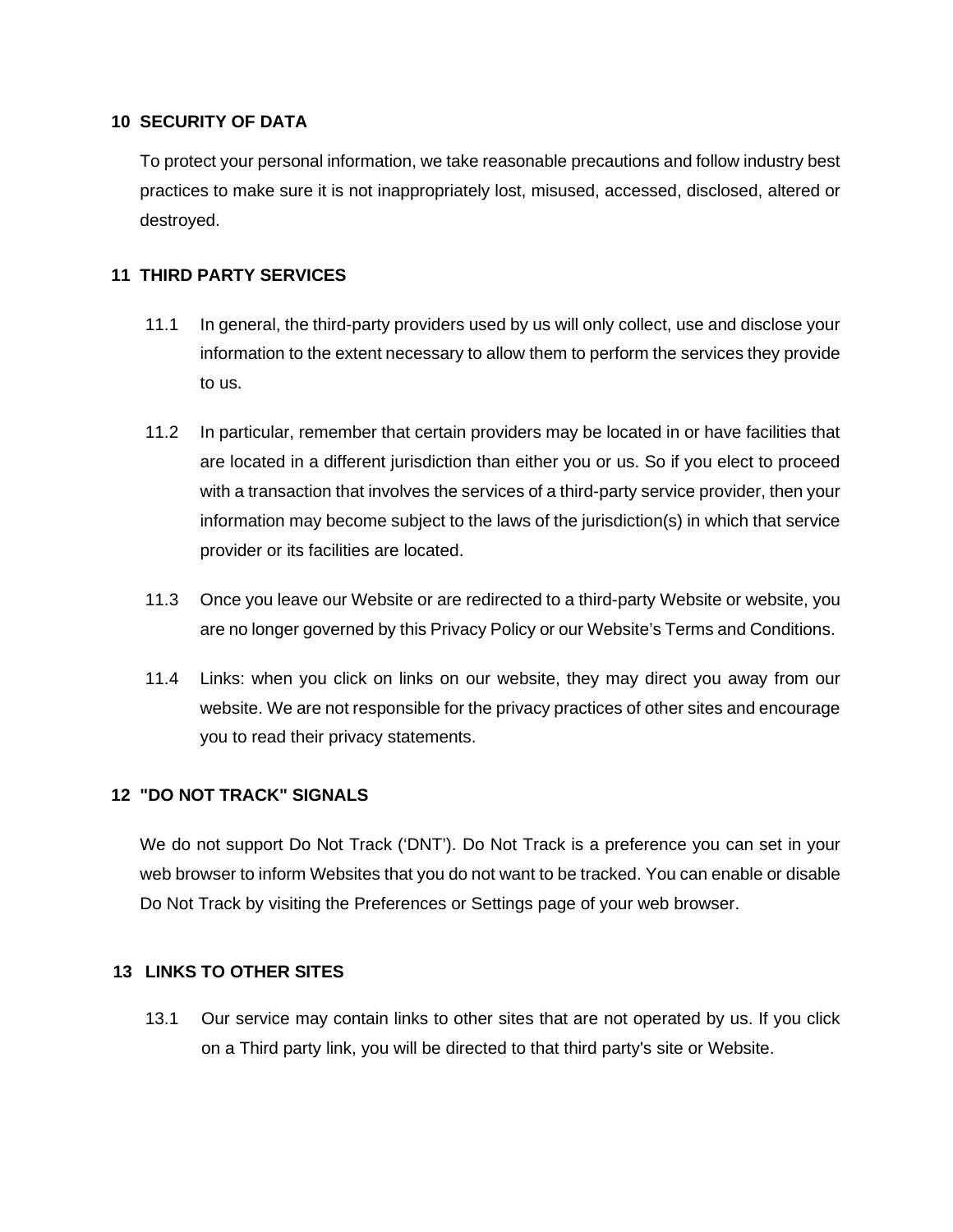#### **10 SECURITY OF DATA**

To protect your personal information, we take reasonable precautions and follow industry best practices to make sure it is not inappropriately lost, misused, accessed, disclosed, altered or destroyed.

# **11 THIRD PARTY SERVICES**

- 11.1 In general, the third-party providers used by us will only collect, use and disclose your information to the extent necessary to allow them to perform the services they provide to us.
- 11.2 In particular, remember that certain providers may be located in or have facilities that are located in a different jurisdiction than either you or us. So if you elect to proceed with a transaction that involves the services of a third-party service provider, then your information may become subject to the laws of the jurisdiction(s) in which that service provider or its facilities are located.
- 11.3 Once you leave our Website or are redirected to a third-party Website or website, you are no longer governed by this Privacy Policy or our Website's Terms and Conditions.
- 11.4 Links: when you click on links on our website, they may direct you away from our website. We are not responsible for the privacy practices of other sites and encourage you to read their privacy statements.

# **12 "DO NOT TRACK" SIGNALS**

We do not support Do Not Track ('DNT'). Do Not Track is a preference you can set in your web browser to inform Websites that you do not want to be tracked. You can enable or disable Do Not Track by visiting the Preferences or Settings page of your web browser.

# **13 LINKS TO OTHER SITES**

13.1 Our service may contain links to other sites that are not operated by us. If you click on a Third party link, you will be directed to that third party's site or Website.